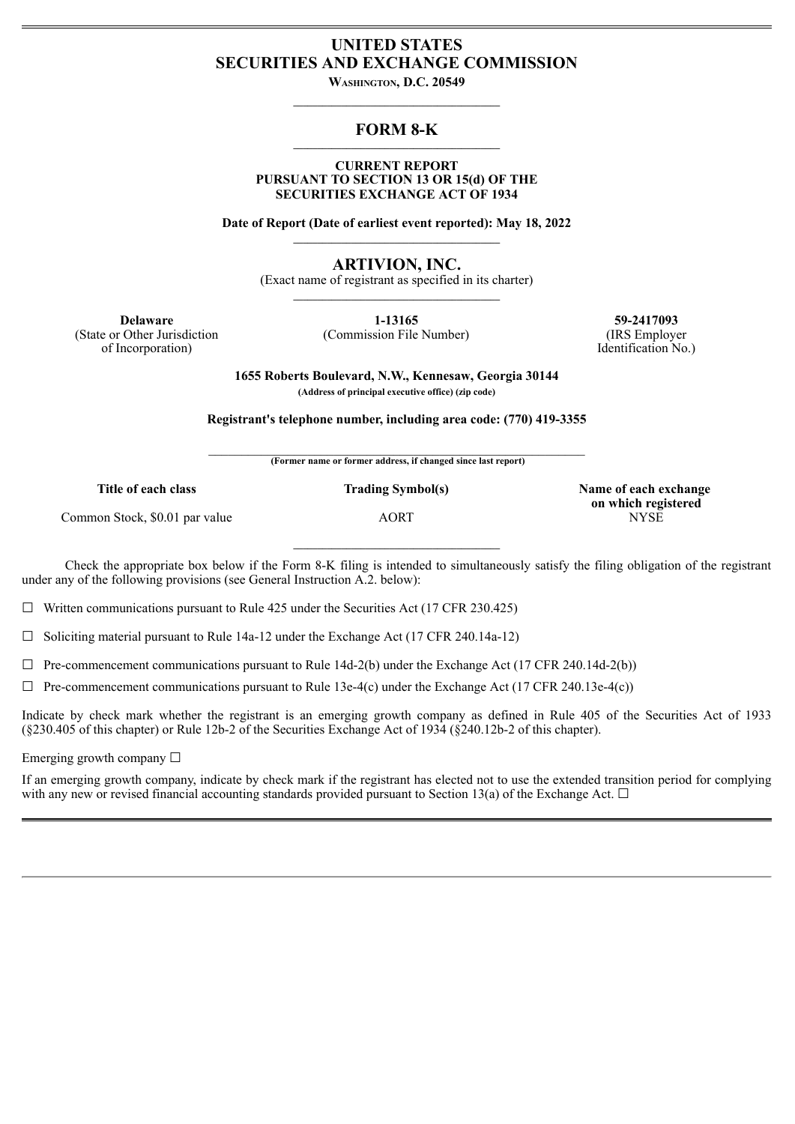# **UNITED STATES SECURITIES AND EXCHANGE COMMISSION**

**Washington, D.C. 20549**  $\mathcal{L} = \{ \mathcal{L} \}$ 

#### **FORM 8-K \_\_\_\_\_\_\_\_\_\_\_\_\_\_\_\_\_\_\_\_\_\_\_\_\_\_\_\_\_\_\_\_\_\_\_\_\_\_\_\_\_\_\_**

#### **CURRENT REPORT PURSUANT TO SECTION 13 OR 15(d) OF THE SECURITIES EXCHANGE ACT OF 1934**

**Date of Report (Date of earliest event reported): May 18, 2022 \_\_\_\_\_\_\_\_\_\_\_\_\_\_\_\_\_\_\_\_\_\_\_\_\_\_\_\_\_\_\_\_\_\_\_\_\_\_\_\_\_\_\_**

**ARTIVION, INC.**

(Exact name of registrant as specified in its charter)  $\mathcal{L} = \{ \mathcal{L} \}$ 

(State or Other Jurisdiction of Incorporation)

**Delaware 1-13165 59-2417093** (Commission File Number) (IRS Employer Identification No.)

> **1655 Roberts Boulevard, N.W., Kennesaw, Georgia 30144 (Address of principal executive office) (zip code)**

**Registrant's telephone number, including area code: (770) 419-3355**

 $\mathcal{L}_\text{max}$  and the contract of the contract of the contract of the contract of the contract of the contract of **(Former name or former address, if changed since last report)**

Common Stock, \$0.01 par value AORT AORT NYSE

Check the appropriate box below if the Form 8-K filing is intended to simultaneously satisfy the filing obligation of the registrant under any of the following provisions (see General Instruction A.2. below):

 $\mathcal{L} = \{ \mathcal{L} \}$ 

 $\Box$  Written communications pursuant to Rule 425 under the Securities Act (17 CFR 230.425)

 $\Box$  Soliciting material pursuant to Rule 14a-12 under the Exchange Act (17 CFR 240.14a-12)

 $\Box$  Pre-commencement communications pursuant to Rule 14d-2(b) under the Exchange Act (17 CFR 240.14d-2(b))

 $\Box$  Pre-commencement communications pursuant to Rule 13e-4(c) under the Exchange Act (17 CFR 240.13e-4(c))

Indicate by check mark whether the registrant is an emerging growth company as defined in Rule 405 of the Securities Act of 1933 (§230.405 of this chapter) or Rule 12b-2 of the Securities Exchange Act of 1934 (§240.12b-2 of this chapter).

Emerging growth company  $\Box$ 

If an emerging growth company, indicate by check mark if the registrant has elected not to use the extended transition period for complying with any new or revised financial accounting standards provided pursuant to Section 13(a) of the Exchange Act.  $\Box$ 

**Title of each class Trading Symbol(s) Name of each exchange on which registered**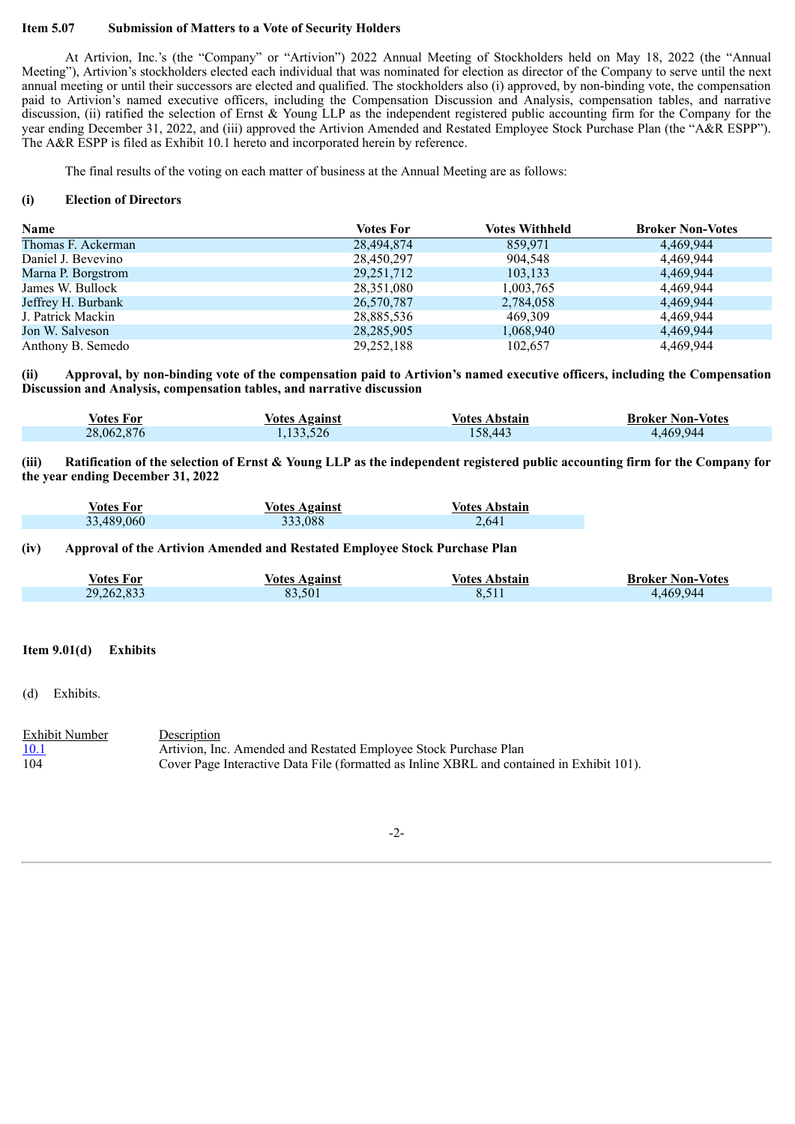### **Item 5.07 Submission of Matters to a Vote of Security Holders**

At Artivion, Inc.'s (the "Company" or "Artivion") 2022 Annual Meeting of Stockholders held on May 18, 2022 (the "Annual Meeting"), Artivion's stockholders elected each individual that was nominated for election as director of the Company to serve until the next annual meeting or until their successors are elected and qualified. The stockholders also (i) approved, by non-binding vote, the compensation paid to Artivion's named executive officers, including the Compensation Discussion and Analysis, compensation tables, and narrative discussion, (ii) ratified the selection of Ernst & Young LLP as the independent registered public accounting firm for the Company for the year ending December 31, 2022, and (iii) approved the Artivion Amended and Restated Employee Stock Purchase Plan (the "A&R ESPP"). The A&R ESPP is filed as Exhibit 10.1 hereto and incorporated herein by reference.

The final results of the voting on each matter of business at the Annual Meeting are as follows:

#### **(i) Election of Directors**

| <b>Name</b>        | <b>Votes For</b> | <b>Votes Withheld</b> | <b>Broker Non-Votes</b> |
|--------------------|------------------|-----------------------|-------------------------|
| Thomas F. Ackerman | 28,494,874       | 859,971               | 4.469.944               |
| Daniel J. Bevevino | 28,450,297       | 904,548               | 4,469,944               |
| Marna P. Borgstrom | 29, 251, 712     | 103,133               | 4,469,944               |
| James W. Bullock   | 28,351,080       | 1,003,765             | 4,469,944               |
| Jeffrey H. Burbank | 26,570,787       | 2,784,058             | 4,469,944               |
| J. Patrick Mackin  | 28,885,536       | 469,309               | 4,469,944               |
| Jon W. Salveson    | 28, 285, 905     | 1,068,940             | 4,469,944               |
| Anthony B. Semedo  | 29, 252, 188     | 102,657               | 4,469,944               |

(ii) Approval, by non-binding vote of the compensation paid to Artivion's named executive officers, including the Compensation **Discussion and Analysis, compensation tables, and narrative discussion**

| Votes For  | <b>Votes Against</b> | <b>Votes Abstain</b> | <b>Broker Non-Votes</b> |
|------------|----------------------|----------------------|-------------------------|
| 28,062,876 | ,133,526             | 58.443               | 4,469,944               |

(iii) Ratification of the selection of Ernst & Young LLP as the independent registered public accounting firm for the Company for **the year ending December 31, 2022**

| Votes For  | <b>Votes Against</b> | <b>Votes Abstain</b> |
|------------|----------------------|----------------------|
| 33,489,060 | 333,088              | 2,641                |

# **(iv) Approval of the Artivion Amended and Restated Employee Stock Purchase Plan**

| <b>Votes For</b> | <b>Votes Against</b> | Votes Abstain | <b>Broker Non-Votes</b> |
|------------------|----------------------|---------------|-------------------------|
| 29,262,833       | 83.501               |               | 4,469,944               |

# **Item 9.01(d) Exhibits**

(d) Exhibits.

| <b>Exhibit Number</b> | Description                                                                               |
|-----------------------|-------------------------------------------------------------------------------------------|
| 10.1                  | Artivion, Inc. Amended and Restated Employee Stock Purchase Plan                          |
| 104                   | Cover Page Interactive Data File (formatted as Inline XBRL and contained in Exhibit 101). |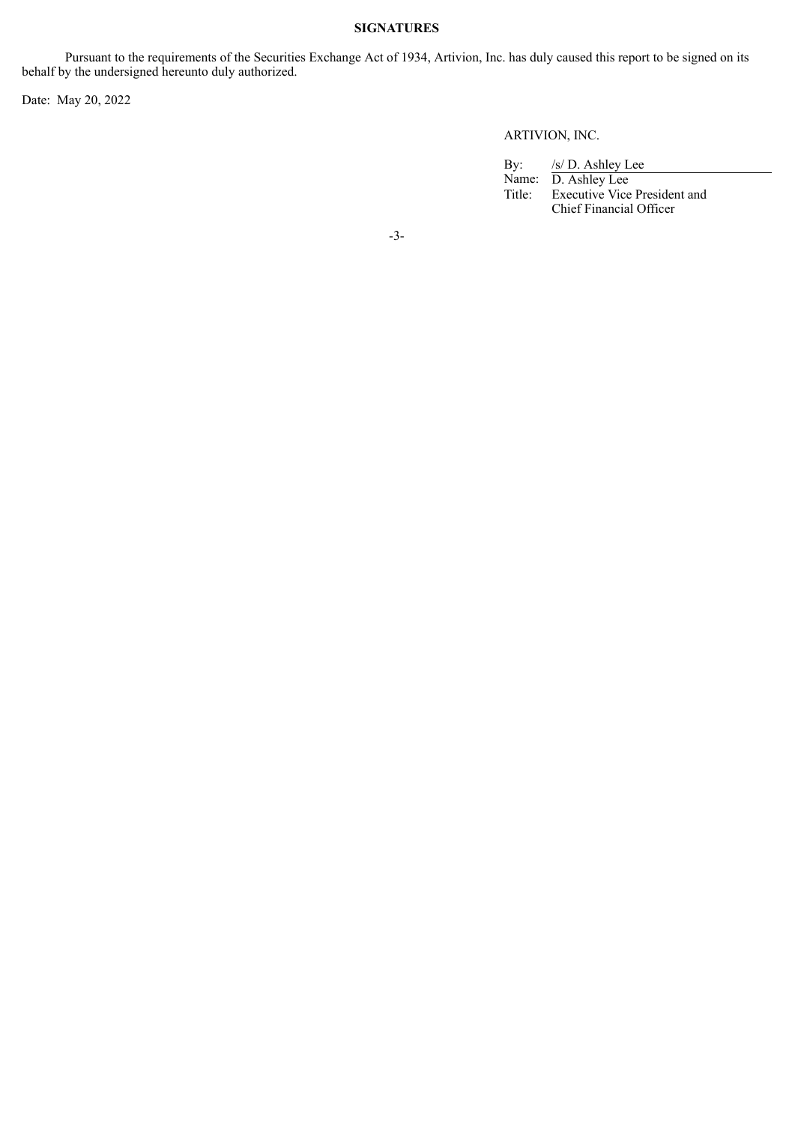# **SIGNATURES**

Pursuant to the requirements of the Securities Exchange Act of 1934, Artivion, Inc. has duly caused this report to be signed on its behalf by the undersigned hereunto duly authorized.

Date: May 20, 2022

# ARTIVION, INC.

By: /s/ D. Ashley Lee Name: D. Ashley Lee Title: Executive Vice President and Chief Financial Officer

-3-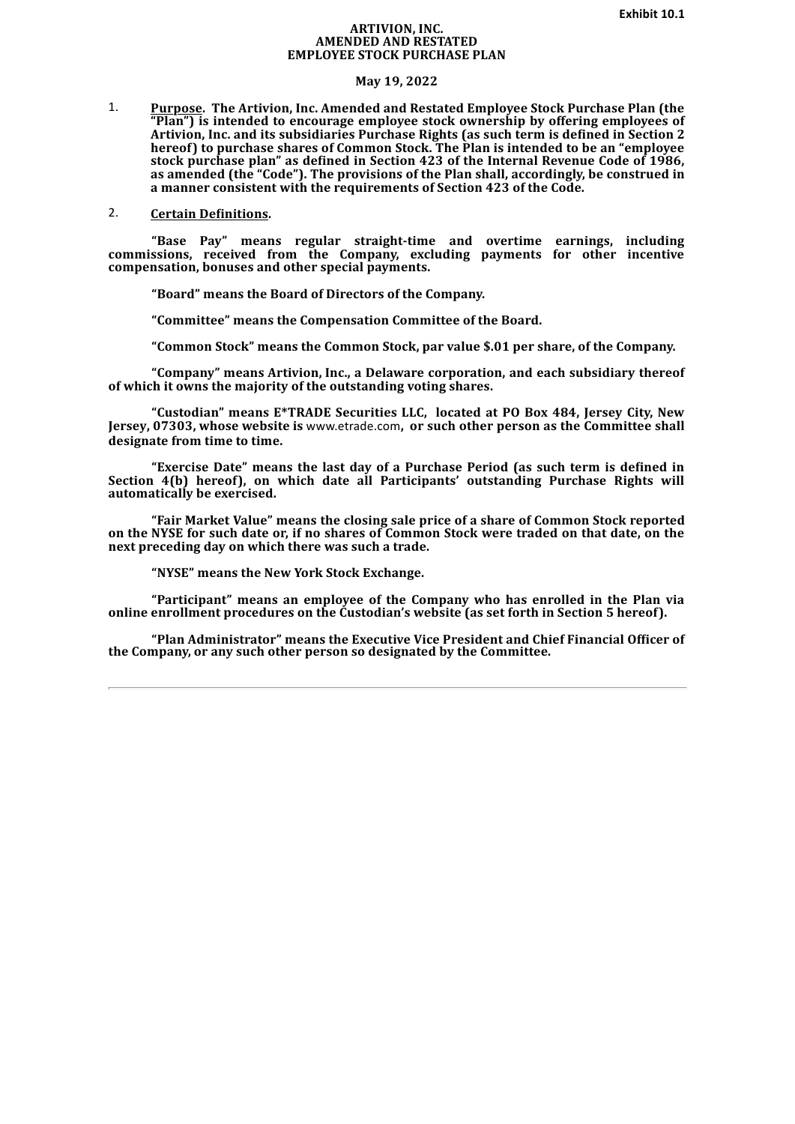#### **ARTIVION, INC. AMENDED AND RESTATED EMPLOYEE STOCK PURCHASE PLAN**

#### **May 19, 2022**

<span id="page-3-0"></span>1. **Purpose. The Artivion, Inc. Amended and Restated Employee Stock Purchase Plan (the "Plan") is intended to encourage employee stock ownership by offering employees of Artivion, Inc. and its subsidiaries Purchase Rights (as such term is defined in Section 2 hereof) to purchase shares of Common Stock. The Plan is intended to be an "employee stock purchase plan" as defined in Section 423 of the Internal Revenue Code of 1986, as amended (the "Code"). The provisions of the Plan shall, accordingly, be construed in a manner consistent with the requirements of Section 423 of the Code.**

# 2. **Certain Definitions.**

**"Base Pay" means regular straight-time and overtime earnings, including commissions, received from the Company, excluding payments for other incentive compensation, bonuses and other special payments.**

**"Board" means the Board of Directors of the Company.**

**"Committee" means the Compensation Committee of the Board.**

**"Common Stock" means the Common Stock, par value \$.01 per share, of the Company.**

**"Company" means Artivion, Inc., a Delaware corporation, and each subsidiary thereof of which it owns the majority of the outstanding voting shares.**

**"Custodian" means E\*TRADE Securities LLC, located at PO Box 484, Jersey City, New Jersey, 07303, whose website is** www.etrade.com**, or such other person as the Committee shall designate from time to time.**

**"Exercise Date" means the last day of a Purchase Period (as such term is defined in Section 4(b) hereof), on which date all Participants' outstanding Purchase Rights will automatically be exercised.**

**"Fair Market Value" means the closing sale price of a share of Common Stock reported** on the NYSE for such date or, if no shares of Common Stock were traded on that date, on the **next preceding day on which there was such a trade.**

**"NYSE" means the New York Stock Exchange.**

**"Participant" means an employee of the Company who has enrolled in the Plan via online enrollment procedures on the Custodian's website (as set forth in Section 5 hereof).**

**"Plan Administrator" means the Executive Vice President and Chief Financial Officer of the Company, or any such other person so designated by the Committee.**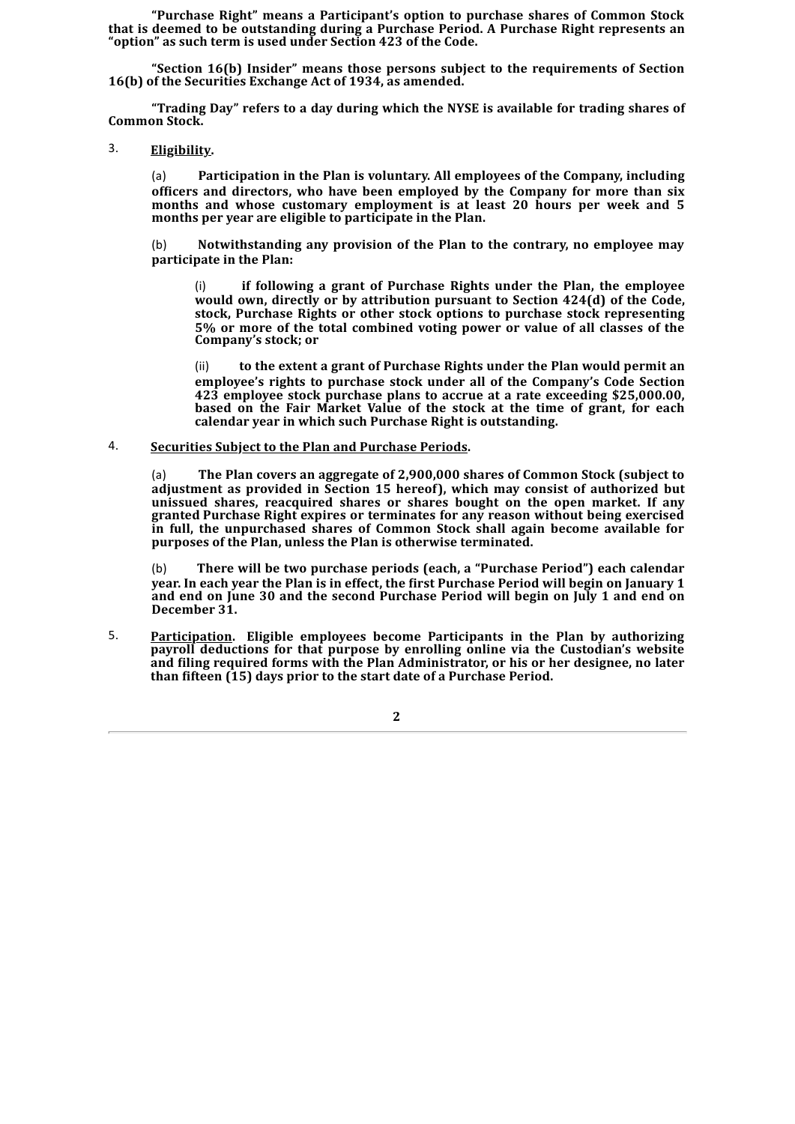**"Purchase Right" means a Participant's option to purchase shares of Common Stock that is deemed to be outstanding during a Purchase Period. A Purchase Right represents an "option" as such term is used under Section 423 of the Code.**

**"Section 16(b) Insider" means those persons subject to the requirements of Section 16(b) of the Securities Exchange Act of 1934, as amended.**

**"Trading Day" refers to a day during which the NYSE is available for trading shares of Common Stock.**

3. **Eligibility.**

(a) **Participation in the Plan is voluntary. All employees of the Company, including officers and directors, who have been employed by the Company for more than six months and whose customary employment is at least 20 hours per week and 5 months per year are eligible to participate in the Plan.**

(b) **Notwithstanding any provision of the Plan to the contrary, no employee may participate in the Plan:**

(i) **if following a grant of Purchase Rights under the Plan, the employee would own, directly or by attribution pursuant to Section 424(d) of the Code, stock, Purchase Rights or other stock options to purchase stock representing 5% or more of the total combined voting power or value of all classes of the Company's stock; or**

(ii) **to the extent a grant of Purchase Rights under the Plan would permit an employee's rights to purchase stock under all of the Company's Code Section 423 employee stock purchase plans to accrue at a rate exceeding \$25,000.00, based on the Fair Market Value of the stock at the time of grant, for each calendar year in which such Purchase Right is outstanding.**

### 4. **Securities Subject to the Plan and Purchase Periods.**

(a) **The Plan covers an aggregate of 2,900,000 shares of Common Stock (subject to adjustment as provided in Section 15 hereof), which may consist of authorized but unissued shares, reacquired shares or shares bought on the open market. If any granted Purchase Right expires or terminates for any reason without being exercised in full, the unpurchased shares of Common Stock shall again become available for purposes of the Plan, unless the Plan is otherwise terminated.**

(b) **There will be two purchase periods (each, a "Purchase Period") each calendar year. In each year the Plan is in effect, the first Purchase Period will begin on January 1 and end on June 30 and the second Purchase Period will begin on July 1 and end on December 31.**

5. **Participation. Eligible employees become Participants in the Plan by authorizing payroll deductions for that purpose by enrolling online via the Custodian's website and filing required forms with the Plan Administrator, or his or her designee, no later than fifteen (15) days prior to the start date of a Purchase Period.**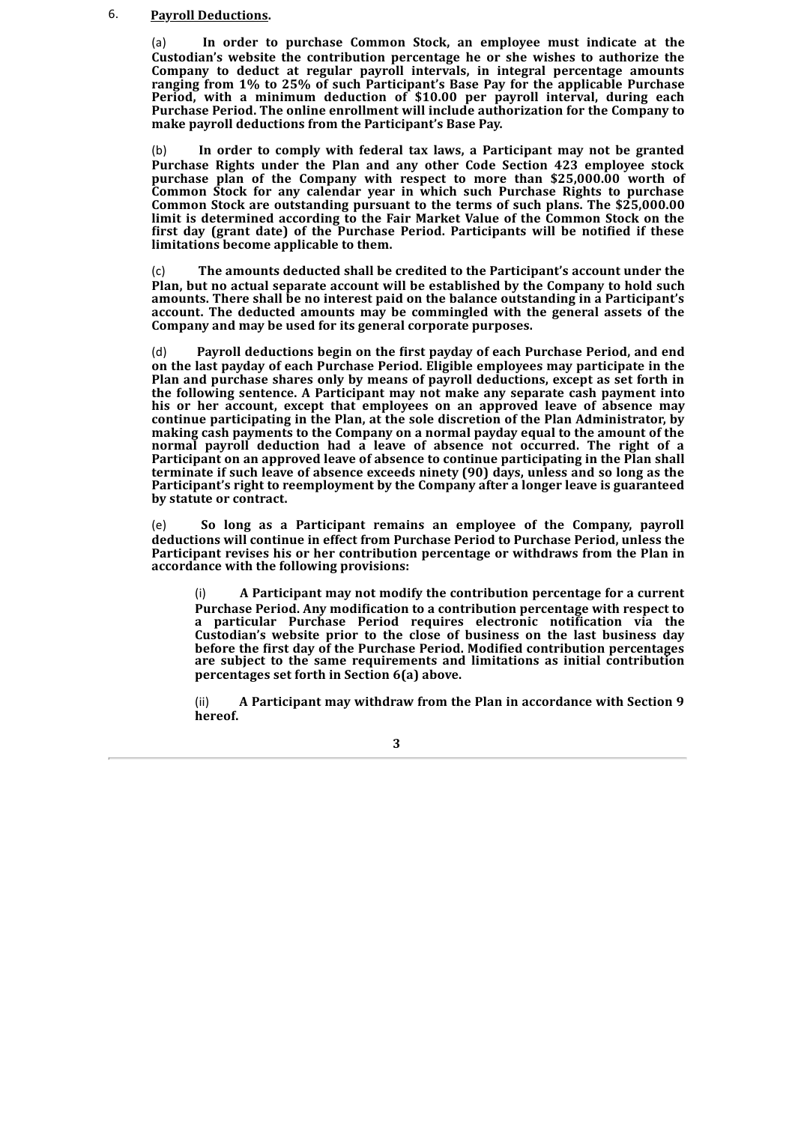#### 6. **Payroll Deductions.**

(a) **In order to purchase Common Stock, an employee must indicate at the Custodian's website the contribution percentage he or she wishes to authorize the Company to deduct at regular payroll intervals, in integral percentage amounts ranging from 1% to 25% of such Participant's Base Pay for the applicable Purchase Period, with a minimum deduction of \$10.00 per payroll interval, during each Purchase Period. The online enrollment will include authorization for the Company to make payroll deductions from the Participant's Base Pay.**

(b) **In order to comply with federal tax laws, a Participant may not be granted Purchase Rights under the Plan and any other Code Section 423 employee stock purchase plan of the Company with respect to more than \$25,000.00 worth of Common Stock for any calendar year in which such Purchase Rights to purchase Common Stock are outstanding pursuant to the terms of such plans. The \$25,000.00 limit is determined according to the Fair Market Value of the Common Stock on the first day (grant date) of the Purchase Period. Participants will be notified if these limitations become applicable to them.**

(c) **The amounts deducted shall be credited to the Participant's account under the Plan, but no actual separate account will be established by the Company to hold such amounts. There shall be no interest paid on the balance outstanding in a Participant's account. The deducted amounts may be commingled with the general assets of the Company and may be used for its general corporate purposes.**

(d) **Payroll deductions begin on the first payday of each Purchase Period, and end on the last payday of each Purchase Period. Eligible employees may participate in the Plan and purchase shares only by means of payroll deductions, except as set forth in the following sentence. A Participant may not make any separate cash payment into his or her account, except that employees on an approved leave of absence may continue participating in the Plan, at the sole discretion of the Plan Administrator, by making cash payments to the Company on a normal payday equal to the amount of the normal payroll deduction had a leave of absence not occurred. The right of a Participant on an approved leave of absence to continue participating in the Plan shall terminate if such leave of absence exceeds ninety (90) days, unless and so long as the Participant's right to reemployment by the Company after a longer leave is guaranteed by statute or contract.**

(e) **So long as a Participant remains an employee of the Company, payroll deductions will continue in effect from Purchase Period to Purchase Period, unless the Participant revises his or her contribution percentage or withdraws from the Plan in accordance with the following provisions:**

(i) **A Participant may not modify the contribution percentage for a current Purchase Period. Any modification to a contribution percentage with respect to a particular Purchase Period requires electronic notification via the Custodian's website prior to the close of business on the last business day before the first day of the Purchase Period. Modified contribution percentages are subject to the same requirements and limitations as initial contribution percentages set forth in Section 6(a) above.**

(ii) **A Participant may withdraw from the Plan in accordance with Section 9 hereof.**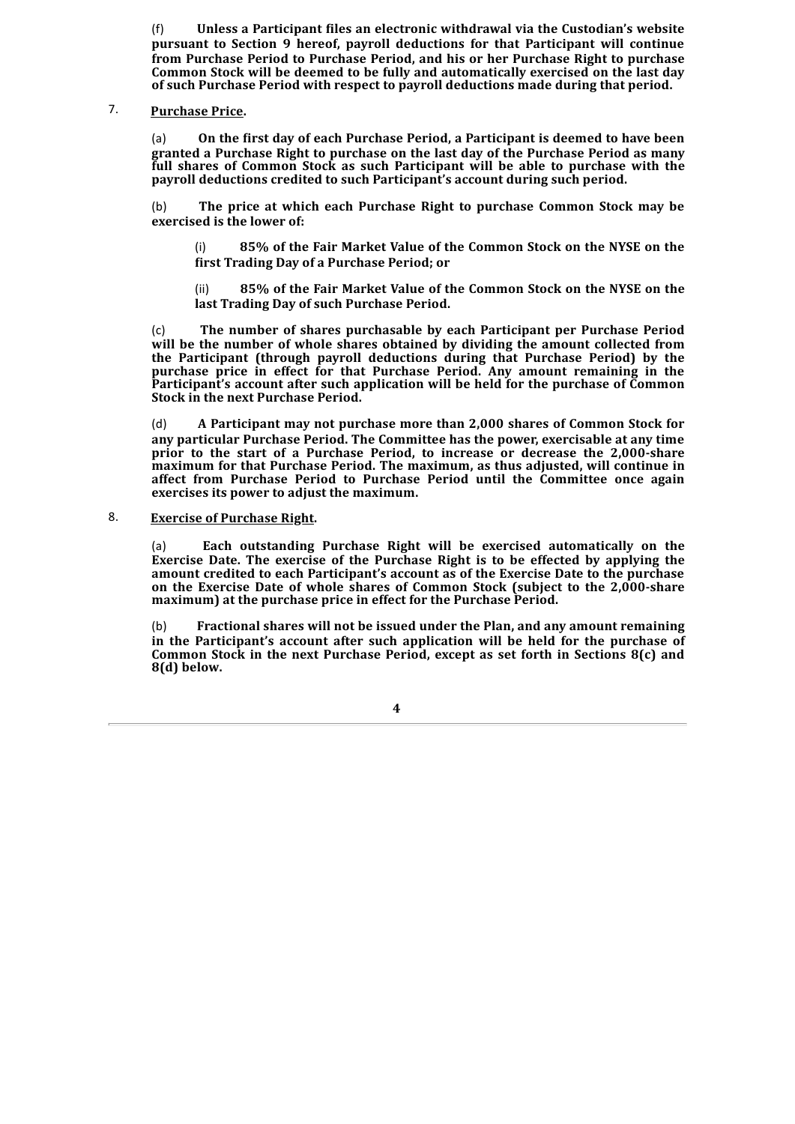(f) **Unless a Participant files an electronic withdrawal via the Custodian's website pursuant to Section 9 hereof, payroll deductions for that Participant will continue from Purchase Period to Purchase Period, and his or her Purchase Right to purchase Common Stock will be deemed to be fully and automatically exercised on the last day of such Purchase Period with respect to payroll deductions made during that period.**

#### 7. **Purchase Price.**

(a) **On the first day of each Purchase Period, a Participant is deemed to have been granted a Purchase Right to purchase on the last day of the Purchase Period as many full shares of Common Stock as such Participant will be able to purchase with the payroll deductions credited to such Participant's account during such period.**

(b) **The price at which each Purchase Right to purchase Common Stock may be exercised is the lower of:**

(i) **85% of the Fair Market Value of the Common Stock on the NYSE on the first Trading Day of a Purchase Period; or**

(ii) **85% of the Fair Market Value of the Common Stock on the NYSE on the last Trading Day of such Purchase Period.**

(c) **The number of shares purchasable by each Participant per Purchase Period will be the number of whole shares obtained by dividing the amount collected from the Participant (through payroll deductions during that Purchase Period) by the purchase price in effect for that Purchase Period. Any amount remaining in the Participant's account after such application will be held for the purchase of Common Stock in the next Purchase Period.**

(d) **A Participant may not purchase more than 2,000 shares of Common Stock for any particular Purchase Period. The Committee has the power, exercisable at any time prior to the start of a Purchase Period, to increase or decrease the 2,000-share maximum for that Purchase Period. The maximum, as thus adjusted, will continue in affect from Purchase Period to Purchase Period until the Committee once again exercises its power to adjust the maximum.**

# 8. **Exercise of Purchase Right.**

(a) **Each outstanding Purchase Right will be exercised automatically on the Exercise Date. The exercise of the Purchase Right is to be effected by applying the amount credited to each Participant's account as of the Exercise Date to the purchase on the Exercise Date of whole shares of Common Stock (subject to the 2,000-share maximum) at the purchase price in effect for the Purchase Period.**

(b) **Fractional shares will not be issued under the Plan, and any amount remaining in the Participant's account after such application will be held for the purchase of Common Stock in the next Purchase Period, except as set forth in Sections 8(c) and 8(d) below.**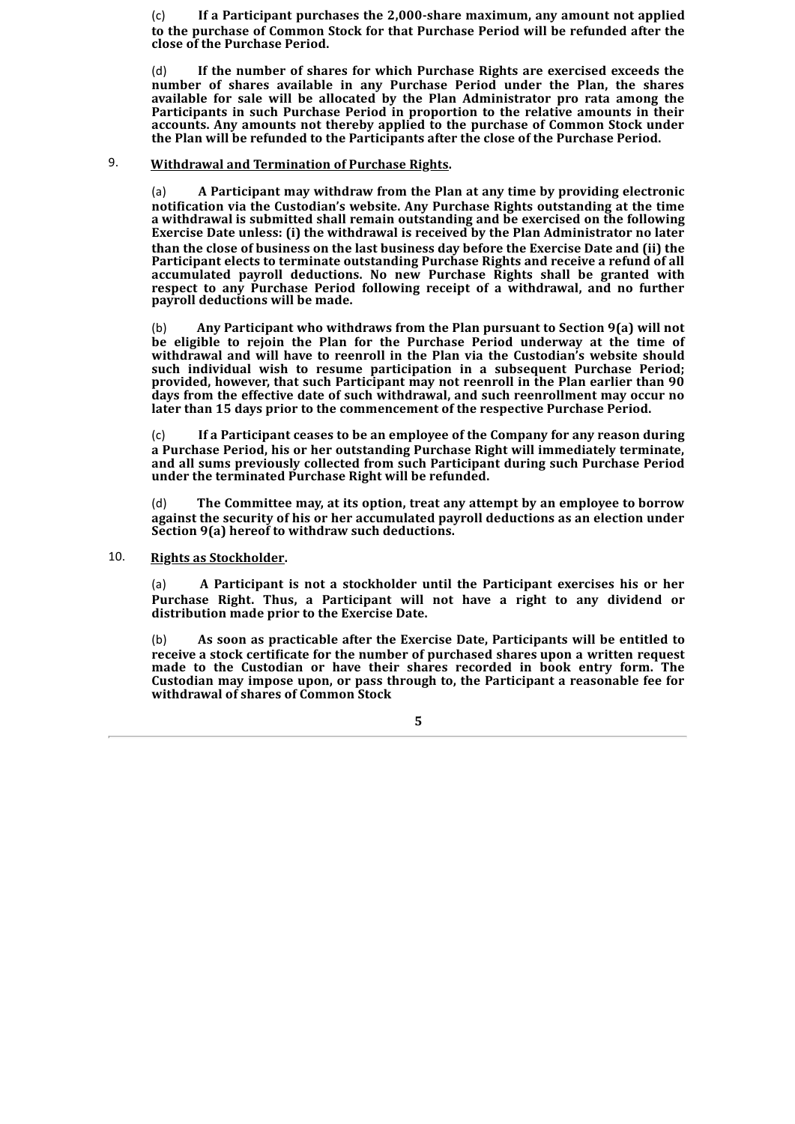(c) **If a Participant purchases the 2,000-share maximum, any amount not applied to the purchase of Common Stock for that Purchase Period will be refunded after the close of the Purchase Period.**

(d) **If the number of shares for which Purchase Rights are exercised exceeds the number of shares available in any Purchase Period under the Plan, the shares available for sale will be allocated by the Plan Administrator pro rata among the Participants in such Purchase Period in proportion to the relative amounts in their accounts. Any amounts not thereby applied to the purchase of Common Stock under the Plan will be refunded to the Participants after the close of the Purchase Period.**

# 9. **Withdrawal and Termination of Purchase Rights.**

(a) **A Participant may withdraw from the Plan at any time by providing electronic notification via the Custodian's website. Any Purchase Rights outstanding at the time a withdrawal is submitted shall remain outstanding and be exercised on the following Exercise Date unless: (i) the withdrawal is received by the Plan Administrator no later than the close of business on the last business day before the Exercise Date and (ii) the Participant elects to terminate outstanding Purchase Rights and receive a refund of all accumulated payroll deductions. No new Purchase Rights shall be granted with respect to any Purchase Period following receipt of a withdrawal, and no further payroll deductions will be made.**

(b) **Any Participant who withdraws from the Plan pursuant to Section 9(a) will not be eligible to rejoin the Plan for the Purchase Period underway at the time of withdrawal and will have to reenroll in the Plan via the Custodian's website should such individual wish to resume participation in a subsequent Purchase Period; provided, however, that such Participant may not reenroll in the Plan earlier than 90 days from the effective date of such withdrawal, and such reenrollment may occur no later than 15 days prior to the commencement of the respective Purchase Period.**

(c) **If a Participant ceases to be an employee of the Company for any reason during a Purchase Period, his or her outstanding Purchase Right will immediately terminate, and all sums previously collected from such Participant during such Purchase Period under the terminated Purchase Right will be refunded.**

(d) **The Committee may, at its option, treat any attempt by an employee to borrow against the security of his or her accumulated payroll deductions as an election under Section 9(a) hereof to withdraw such deductions.**

## 10. **Rights as Stockholder.**

(a) **A Participant is not a stockholder until the Participant exercises his or her Purchase Right. Thus, a Participant will not have a right to any dividend or distribution made prior to the Exercise Date.**

(b) **As soon as practicable after the Exercise Date, Participants will be entitled to receive a stock certificate for the number of purchased shares upon a written request made to the Custodian or have their shares recorded in book entry form. The Custodian may impose upon, or pass through to, the Participant a reasonable fee for withdrawal of shares of Common Stock**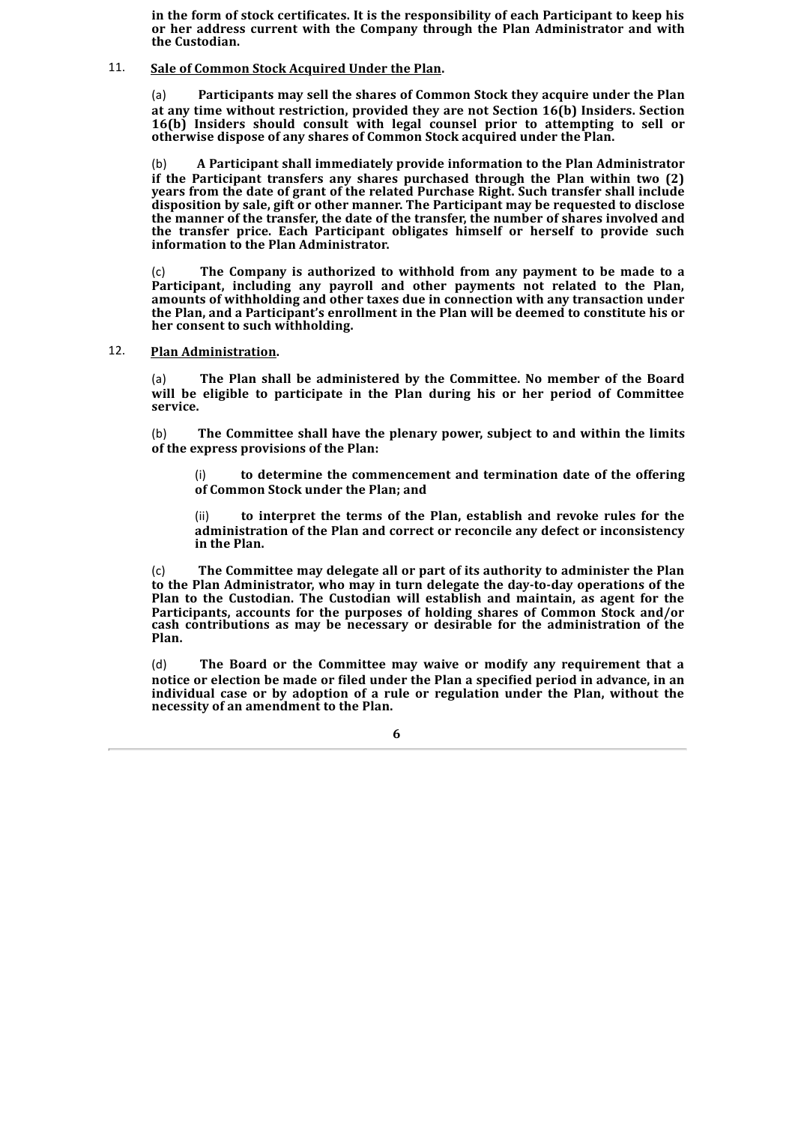**in the form of stock certificates. It is the responsibility of each Participant to keep his or her address current with the Company through the Plan Administrator and with the Custodian.**

# 11. **Sale of Common Stock Acquired Under the Plan.**

(a) **Participants may sell the shares of Common Stock they acquire under the Plan at any time without restriction, provided they are not Section 16(b) Insiders. Section 16(b) Insiders should consult with legal counsel prior to attempting to sell or otherwise dispose of any shares of Common Stock acquired under the Plan.**

(b) **A Participant shall immediately provide information to the Plan Administrator if the Participant transfers any shares purchased through the Plan within two (2) years from the date of grant of the related Purchase Right. Such transfer shall include disposition by sale, gift or other manner. The Participant may be requested to disclose the manner of the transfer, the date of the transfer, the number of shares involved and the transfer price. Each Participant obligates himself or herself to provide such information to the Plan Administrator.**

(c) **The Company is authorized to withhold from any payment to be made to a Participant, including any payroll and other payments not related to the Plan, amounts of withholding and other taxes due in connection with any transaction under the Plan, and a Participant's enrollment in the Plan will be deemed to constitute his or her consent to such withholding.**

# 12. **Plan Administration.**

(a) **The Plan shall be administered by the Committee. No member of the Board will be eligible to participate in the Plan during his or her period of Committee service.**

(b) **The Committee shall have the plenary power, subject to and within the limits of the express provisions of the Plan:**

(i) **to determine the commencement and termination date of the offering of Common Stock under the Plan; and**

(ii) **to interpret the terms of the Plan, establish and revoke rules for the administration of the Plan and correct or reconcile any defect or inconsistency in the Plan.**

(c) **The Committee may delegate all or part of its authority to administer the Plan to the Plan Administrator, who may in turn delegate the day-to-day operations of the Plan to the Custodian. The Custodian will establish and maintain, as agent for the Participants, accounts for the purposes of holding shares of Common Stock and/or cash contributions as may be necessary or desirable for the administration of the Plan.**

(d) **The Board or the Committee may waive or modify any requirement that a notice or election be made or filed under the Plan a specified period in advance, in an individual case or by adoption of a rule or regulation under the Plan, without the necessity of an amendment to the Plan.**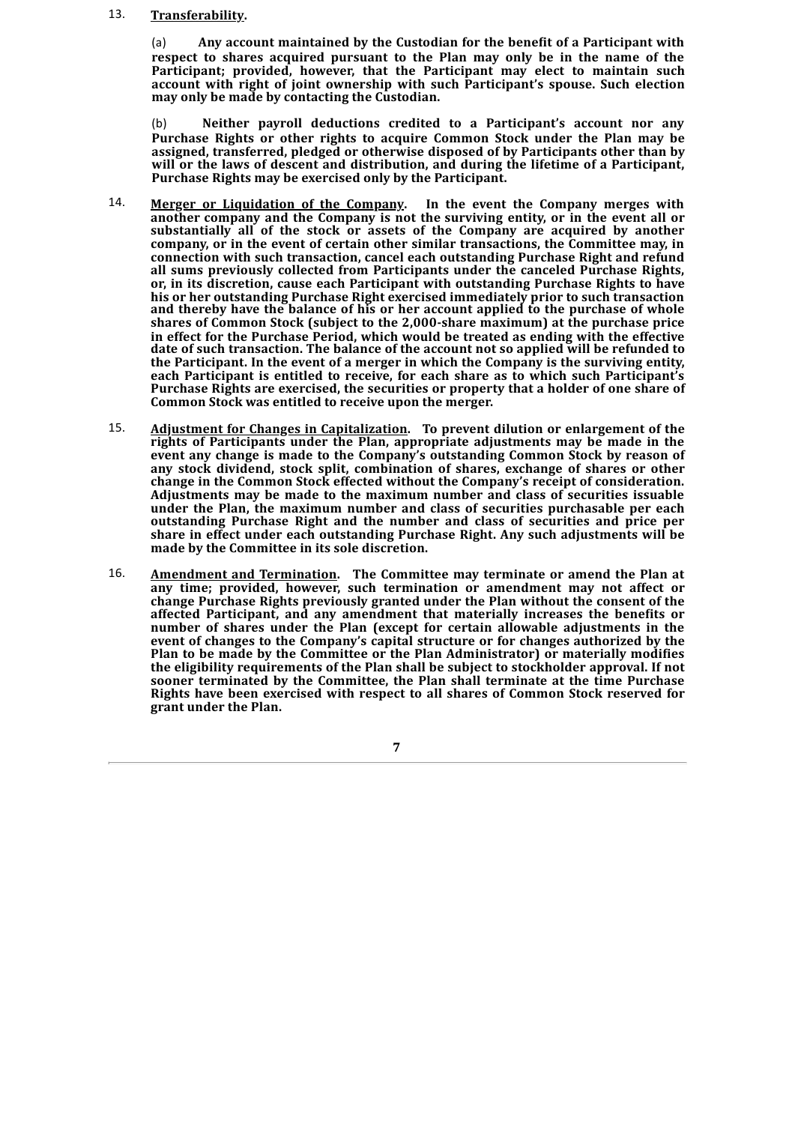#### 13. **Transferability.**

(a) **Any account maintained by the Custodian for the benefit of a Participant with respect to shares acquired pursuant to the Plan may only be in the name of the Participant; provided, however, that the Participant may elect to maintain such account with right of joint ownership with such Participant's spouse. Such election may only be made by contacting the Custodian.**

(b) **Neither payroll deductions credited to a Participant's account nor any Purchase Rights or other rights to acquire Common Stock under the Plan may be assigned, transferred, pledged or otherwise disposed of by Participants other than by will or the laws of descent and distribution, and during the lifetime of a Participant, Purchase Rights may be exercised only by the Participant.**

- 14. **Merger or Liquidation of the Company. In the event the Company merges with another company and the Company is not the surviving entity, or in the event all or substantially all of the stock or assets of the Company are acquired by another company, or in the event of certain other similar transactions, the Committee may, in connection with such transaction, cancel each outstanding Purchase Right and refund all sums previously collected from Participants under the canceled Purchase Rights, or, in its discretion, cause each Participant with outstanding Purchase Rights to have his or her outstanding Purchase Right exercised immediately prior to such transaction and thereby have the balance of his or her account applied to the purchase of whole shares of Common Stock (subject to the 2,000-share maximum) at the purchase price in effect for the Purchase Period, which would be treated as ending with the effective date of such transaction. The balance of the account not so applied will be refunded to the Participant. In the event of a merger in which the Company is the surviving entity, each Participant is entitled to receive, for each share as to which such Participant's Purchase Rights are exercised, the securities or property that a holder of one share of Common Stock was entitled to receive upon the merger.**
- 15. **Adjustment for Changes in Capitalization. To prevent dilution or enlargement of the rights of Participants under the Plan, appropriate adjustments may be made in the event any change is made to the Company's outstanding Common Stock by reason of any stock dividend, stock split, combination of shares, exchange of shares or other change in the Common Stock effected without the Company's receipt of consideration. Adjustments may be made to the maximum number and class of securities issuable under the Plan, the maximum number and class of securities purchasable per each outstanding Purchase Right and the number and class of securities and price per share in effect under each outstanding Purchase Right. Any such adjustments will be made by the Committee in its sole discretion.**
- 16. **Amendment and Termination. The Committee may terminate or amend the Plan at any time; provided, however, such termination or amendment may not affect or change Purchase Rights previously granted under the Plan without the consent of the affected Participant, and any amendment that materially increases the benefits or number of shares under the Plan (except for certain allowable adjustments in the event of changes to the Company's capital structure or for changes authorized by the Plan to be made by the Committee or the Plan Administrator) or materially modifies the eligibility requirements of the Plan shall be subject to stockholder approval. If not sooner terminated by the Committee, the Plan shall terminate at the time Purchase Rights have been exercised with respect to all shares of Common Stock reserved for grant under the Plan.**